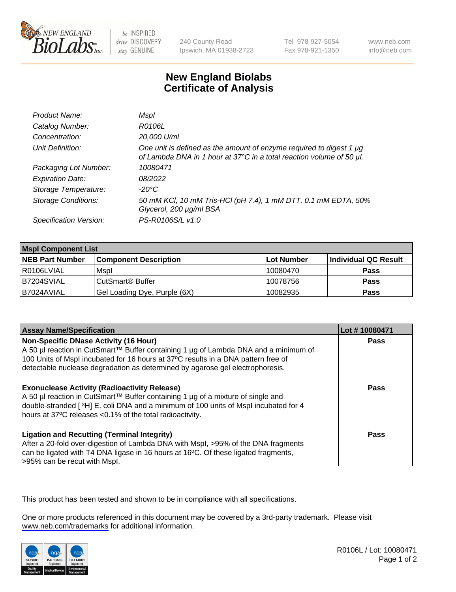

be INSPIRED drive DISCOVERY stay GENUINE

240 County Road Ipswich, MA 01938-2723 Tel 978-927-5054 Fax 978-921-1350

www.neb.com info@neb.com

## **New England Biolabs Certificate of Analysis**

| Product Name:              | Mspl                                                                                                                                             |
|----------------------------|--------------------------------------------------------------------------------------------------------------------------------------------------|
| Catalog Number:            | R0106L                                                                                                                                           |
| Concentration:             | 20,000 U/ml                                                                                                                                      |
| Unit Definition:           | One unit is defined as the amount of enzyme required to digest 1 $\mu$ g<br>of Lambda DNA in 1 hour at 37°C in a total reaction volume of 50 µl. |
| Packaging Lot Number:      | 10080471                                                                                                                                         |
| <b>Expiration Date:</b>    | 08/2022                                                                                                                                          |
| Storage Temperature:       | $-20^{\circ}$ C                                                                                                                                  |
| <b>Storage Conditions:</b> | 50 mM KCl, 10 mM Tris-HCl (pH 7.4), 1 mM DTT, 0.1 mM EDTA, 50%<br>Glycerol, 200 µg/ml BSA                                                        |
| Specification Version:     | PS-R0106S/L v1.0                                                                                                                                 |

| <b>Mspl Component List</b> |                              |                   |                      |  |
|----------------------------|------------------------------|-------------------|----------------------|--|
| <b>NEB Part Number</b>     | <b>Component Description</b> | <b>Lot Number</b> | Individual QC Result |  |
| I R0106LVIAL               | Mspl                         | 10080470          | <b>Pass</b>          |  |
| B7204SVIAL                 | CutSmart <sup>®</sup> Buffer | 10078756          | <b>Pass</b>          |  |
| IB7024AVIAL                | Gel Loading Dye, Purple (6X) | 10082935          | <b>Pass</b>          |  |

| <b>Assay Name/Specification</b>                                                                                                                                                                                                                                                                      | Lot #10080471 |
|------------------------------------------------------------------------------------------------------------------------------------------------------------------------------------------------------------------------------------------------------------------------------------------------------|---------------|
| Non-Specific DNase Activity (16 Hour)<br>  A 50 µl reaction in CutSmart™ Buffer containing 1 µg of Lambda DNA and a minimum of<br>100 Units of Mspl incubated for 16 hours at 37°C results in a DNA pattern free of<br>detectable nuclease degradation as determined by agarose gel electrophoresis. | <b>Pass</b>   |
| <b>Exonuclease Activity (Radioactivity Release)</b><br>  A 50 µl reaction in CutSmart™ Buffer containing 1 µg of a mixture of single and<br>double-stranded [3H] E. coli DNA and a minimum of 100 units of Mspl incubated for 4<br>hours at 37°C releases <0.1% of the total radioactivity.          | Pass          |
| <b>Ligation and Recutting (Terminal Integrity)</b><br>After a 20-fold over-digestion of Lambda DNA with Mspl, >95% of the DNA fragments<br>can be ligated with T4 DNA ligase in 16 hours at 16°C. Of these ligated fragments,<br>>95% can be recut with Mspl.                                        | Pass          |

This product has been tested and shown to be in compliance with all specifications.

One or more products referenced in this document may be covered by a 3rd-party trademark. Please visit <www.neb.com/trademarks>for additional information.